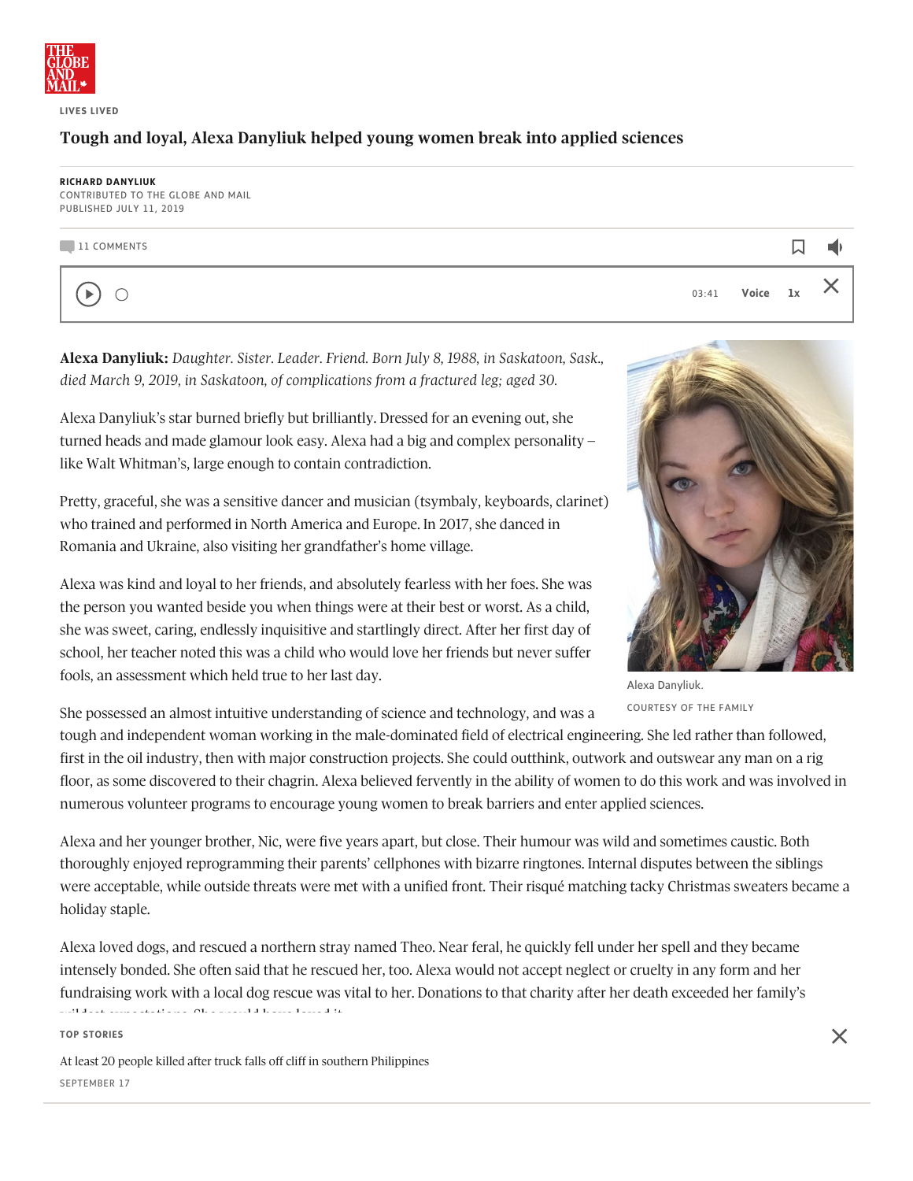

**LIVES LIVED**

## Tough and loyal, Alexa Danyliuk helped young women break into applied sciences

## **RICHARD DANYLIUK**

CONTRIBUTED TO THE GLOBE AND MAIL PUBLISHED JULY 11, 2019

## 11 COMMENTS

 $\blacktriangleright$  $\bigcirc$  03:41 **Voice 1x**

口

 $\blacktriangleleft$ 

X

**Alexa Danyliuk:** *Daughter. Sister. Leader. Friend. Born July 8, 1988, in Saskatoon, Sask., died March 9, 2019, in Saskatoon, of complications from a fractured leg; aged 30.*

Alexa Danyliuk's star burned briefly but brilliantly. Dressed for an evening out, she turned heads and made glamour look easy. Alexa had a big and complex personality – like Walt Whitman's, large enough to contain contradiction.

Pretty, graceful, she was a sensitive dancer and musician (tsymbaly, keyboards, clarinet) who trained and performed in North America and Europe. In 2017, she danced in Romania and Ukraine, also visiting her grandfather's home village.

Alexa was kind and loyal to her friends, and absolutely fearless with her foes. She was the person you wanted beside you when things were at their best or worst. As a child, she was sweet, caring, endlessly inquisitive and startlingly direct. After her first day of school, her teacher noted this was a child who would love her friends but never suffer fools, an assessment which held true to her last day.

Alexa Danyliuk. COURTESY OF THE FAMILY

She possessed an almost intuitive understanding of science and technology, and was a

tough and independent woman working in the male-dominated field of electrical engineering. She led rather than followed, first in the oil industry, then with major construction projects. She could outthink, outwork and outswear any man on a rig floor, as some discovered to their chagrin. Alexa believed fervently in the ability of women to do this work and was involved in numerous volunteer programs to encourage young women to break barriers and enter applied sciences.

Alexa and her younger brother, Nic, were five years apart, but close. Their humour was wild and sometimes caustic. Both thoroughly enjoyed reprogramming their parents' cellphones with bizarre ringtones. Internal disputes between the siblings were acceptable, while outside threats were met with a unified front. Their risqué matching tacky Christmas sweaters became a holiday staple.

Alexa loved dogs, and rescued a northern stray named Theo. Near feral, he quickly fell under her spell and they became intensely bonded. She often said that he rescued her, too. Alexa would not accept neglect or cruelty in any form and her fundraising work with a local dog rescue was vital to her. Donations to that charity after her death exceeded her family's wild have loved it. She would have loved it. She would have loved it. She would have loved it. She would have loved it. She would have loved it. She would have loved it. She would have loved it. She would have loved it. S

**TOP STORIES**

At least 20 people killed after truck falls off cliff in southern [Philippines](https://www.theglobeandmail.com/world/article-at-least-20-people-killed-after-truck-falls-off-cliff-in-southern/)  $\epsilon$ ed to let Janet not wat first did not want to let  $\epsilon$  and later would not leave Alexa's side. SEPTEMBER 17